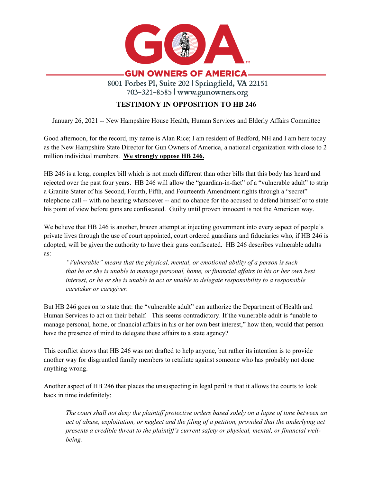

## **GUN OWNERS OF AMERICA=**

8001 Forbes Pl, Suite 202 | Springfield, VA 22151 703-321-8585 | www.gunowners.org

## **TESTIMONY IN OPPOSITION TO HB 246**

January 26, 2021 -- New Hampshire House Health, Human Services and Elderly Affairs Committee

Good afternoon, for the record, my name is Alan Rice; I am resident of Bedford, NH and I am here today as the New Hampshire State Director for Gun Owners of America, a national organization with close to 2 million individual members. **We strongly oppose HB 246.**

HB 246 is a long, complex bill which is not much different than other bills that this body has heard and rejected over the past four years. HB 246 will allow the "guardian-in-fact" of a "vulnerable adult" to strip a Granite Stater of his Second, Fourth, Fifth, and Fourteenth Amendment rights through a "secret" telephone call -- with no hearing whatsoever -- and no chance for the accused to defend himself or to state his point of view before guns are confiscated. Guilty until proven innocent is not the American way.

We believe that HB 246 is another, brazen attempt at injecting government into every aspect of people's private lives through the use of court appointed, court ordered guardians and fiduciaries who, if HB 246 is adopted, will be given the authority to have their guns confiscated. HB 246 describes vulnerable adults as:

*"Vulnerable" means that the physical, mental, or emotional ability of a person is such that he or she is unable to manage personal, home, or financial affairs in his or her own best interest, or he or she is unable to act or unable to delegate responsibility to a responsible caretaker or caregiver.* 

But HB 246 goes on to state that: the "vulnerable adult" can authorize the Department of Health and Human Services to act on their behalf. This seems contradictory. If the vulnerable adult is "unable to manage personal, home, or financial affairs in his or her own best interest," how then, would that person have the presence of mind to delegate these affairs to a state agency?

This conflict shows that HB 246 was not drafted to help anyone, but rather its intention is to provide another way for disgruntled family members to retaliate against someone who has probably not done anything wrong.

Another aspect of HB 246 that places the unsuspecting in legal peril is that it allows the courts to look back in time indefinitely:

*The court shall not deny the plaintiff protective orders based solely on a lapse of time between an act of abuse, exploitation, or neglect and the filing of a petition, provided that the underlying act presents a credible threat to the plaintiff's current safety or physical, mental, or financial wellbeing.*